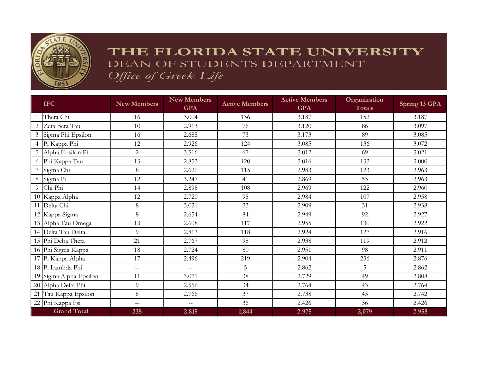

## THE FLORIDA STATE UNIVERSITY DEAN OF STUDENTS DEPARTMENT Office of Greek Life

|   | <b>IFC</b>             | <b>New Members</b> | <b>New Members</b><br><b>GPA</b> | <b>Active Members</b> | <b>Active Members</b><br><b>GPA</b> | Organization<br><b>Totals</b> | Spring 13 GPA |
|---|------------------------|--------------------|----------------------------------|-----------------------|-------------------------------------|-------------------------------|---------------|
|   | Theta Chi              | 16                 | 3.004                            | 136                   | 3.187                               | 152                           | 3.187         |
| 2 | Zeta Beta Tau          | 10                 | 2.913                            | 76                    | 3.120                               | 86                            | 3.097         |
|   | 3 Sigma Phi Epsilon    | 16                 | 2.685                            | 73                    | 3.173                               | 89                            | 3.085         |
|   | 4 Pi Kappa Phi         | 12                 | 2.926                            | 124                   | 3.085                               | 136                           | 3.072         |
|   | 5 Alpha Epsilon Pi     | $\overline{c}$     | 3.516                            | 67                    | 3.012                               | 69                            | 3.021         |
|   | 6 Phi Kappa Tau        | 13                 | 2.853                            | 120                   | 3.016                               | 133                           | 3.000         |
|   | Sigma Chi              | 8                  | 2.620                            | 115                   | 2.983                               | 123                           | 2.963         |
|   | 8 Sigma Pi             | 12                 | 3.247                            | 41                    | 2.869                               | 53                            | 2.963         |
| 9 | Chi Phi                | 14                 | 2.898                            | 108                   | 2.969                               | 122                           | 2.960         |
|   | 10 Kappa Alpha         | 12                 | 2.720                            | 95                    | 2.984                               | 107                           | 2.958         |
|   | 11 Delta Chi           | 8                  | 3.021                            | 23                    | 2.909                               | 31                            | 2.938         |
|   | 12 Kappa Sigma         | 8                  | 2.654                            | 84                    | 2.949                               | 92                            | 2.927         |
|   | 13 Alpha Tau Omega     | 13                 | 2.608                            | 117                   | 2.955                               | 130                           | 2.922         |
|   | 14 Delta Tau Delta     | 9                  | 2.813                            | 118                   | 2.924                               | 127                           | 2.916         |
|   | 15 Phi Delta Theta     | 21                 | 2.767                            | 98                    | 2.938                               | 119                           | 2.912         |
|   | 16 Phi Sigma Kappa     | 18                 | 2.724                            | 80                    | 2.951                               | 98                            | 2.911         |
|   | 17 Pi Kappa Alpha      | 17                 | 2.496                            | 219                   | 2.904                               | 236                           | 2.876         |
|   | 18 Pi Lambda Phi       | $\overline{a}$     | $\overline{a}$                   | 5                     | 2.862                               | 5                             | 2.862         |
|   | 19 Sigma Alpha Epsilon | 11                 | 3.071                            | 38                    | 2.729                               | 49                            | 2.808         |
|   | 20 Alpha Delta Phi     | 9                  | 2.556                            | 34                    | 2.764                               | 43                            | 2.764         |
|   | 21 Tau Kappa Epsilon   | 6                  | 2.766                            | 37                    | 2.738                               | 43                            | 2.742         |
|   | 22 Phi Kappa Psi       | $\overline{a}$     | $\overline{a}$                   | 36                    | 2.426                               | 36                            | 2.426         |
|   | <b>Grand Total</b>     | 235                | 2.815                            | 1,844                 | 2.975                               | 2,079                         | 2.958         |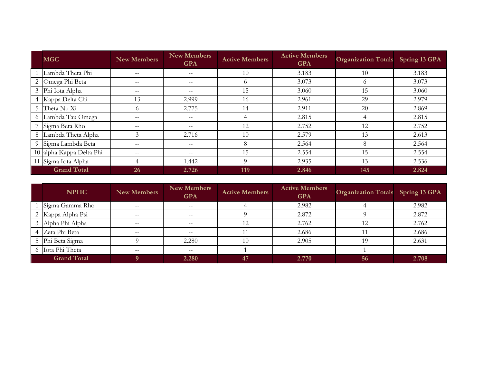|                    | <b>MGC</b>               | <b>New Members</b> | <b>New Members</b><br><b>GPA</b> | <b>Active Members</b> | <b>Active Members</b><br><b>GPA</b> | <b>Organization Totals</b> Spring 13 GPA |       |
|--------------------|--------------------------|--------------------|----------------------------------|-----------------------|-------------------------------------|------------------------------------------|-------|
|                    | Lambda Theta Phi         | $- -$              | $- -$                            | 10                    | 3.183                               | 10                                       | 3.183 |
|                    | 2 Omega Phi Beta         | $- -$              | $- -$                            | 6                     | 3.073                               | $^{(1)}$                                 | 3.073 |
|                    | 3 Phi Iota Alpha         | $\qquad \qquad -$  | $-\,-$                           | 15                    | 3.060                               | 15                                       | 3.060 |
|                    | 4 Kappa Delta Chi        | 13                 | 2.999                            | 16                    | 2.961                               | 29                                       | 2.979 |
|                    | 5 Theta Nu Xi            | $\Omega$           | 2.775                            | 14                    | 2.911                               | 20                                       | 2.869 |
|                    | 6 Lambda Tau Omega       | $- -$              | $- -$                            | 4                     | 2.815                               | 4                                        | 2.815 |
|                    | 7 Sigma Beta Rho         | $- -$              | $-\,-$                           | 12                    | 2.752                               | 12                                       | 2.752 |
|                    | 8 Lambda Theta Alpha     | 3                  | 2.716                            | 10                    | 2.579                               | 13                                       | 2.613 |
|                    | 9 Sigma Lambda Beta      | $- -$              | $- -$                            | 8                     | 2.564                               | 8                                        | 2.564 |
|                    | 10 alpha Kappa Delta Phi | $- -$              | $- -$                            | 15                    | 2.554                               | 15                                       | 2.554 |
|                    | 11 Sigma Iota Alpha      | 4                  | 1.442                            | 9                     | 2.935                               | 13                                       | 2.536 |
| <b>Grand Total</b> |                          | 26                 | 2.726                            | 119                   | 2.846                               | 145                                      | 2.824 |

| <b>NPHC</b>        | <b>New Members</b> | <b>New Members</b><br><b>GPA</b> | <b>Active Members</b>       | <b>Active Members</b><br><b>GPA</b> | <b>Organization Totals</b> Spring 13 GPA |       |
|--------------------|--------------------|----------------------------------|-----------------------------|-------------------------------------|------------------------------------------|-------|
| Sigma Gamma Rho    | $- -$              | $- -$                            |                             | 2.982                               |                                          | 2.982 |
| Kappa Alpha Psi    | $- -$              | $--$                             |                             | 2.872                               |                                          | 2.872 |
| Alpha Phi Alpha    | $- -$              | $- -$                            | $1\Omega$<br>$\overline{L}$ | 2.762                               | 12<br>l 4                                | 2.762 |
| Zeta Phi Beta      | $- -$              | $- -$                            |                             | 2.686                               |                                          | 2.686 |
| 5 Phi Beta Sigma   |                    | 2.280                            | 10                          | 2.905                               | 19                                       | 2.631 |
| 6 Iota Phi Theta   | $- -$              | $- -$                            |                             |                                     |                                          |       |
| <b>Grand Total</b> |                    | 2.280                            | 47                          | 2.770                               | 56                                       | 2.708 |